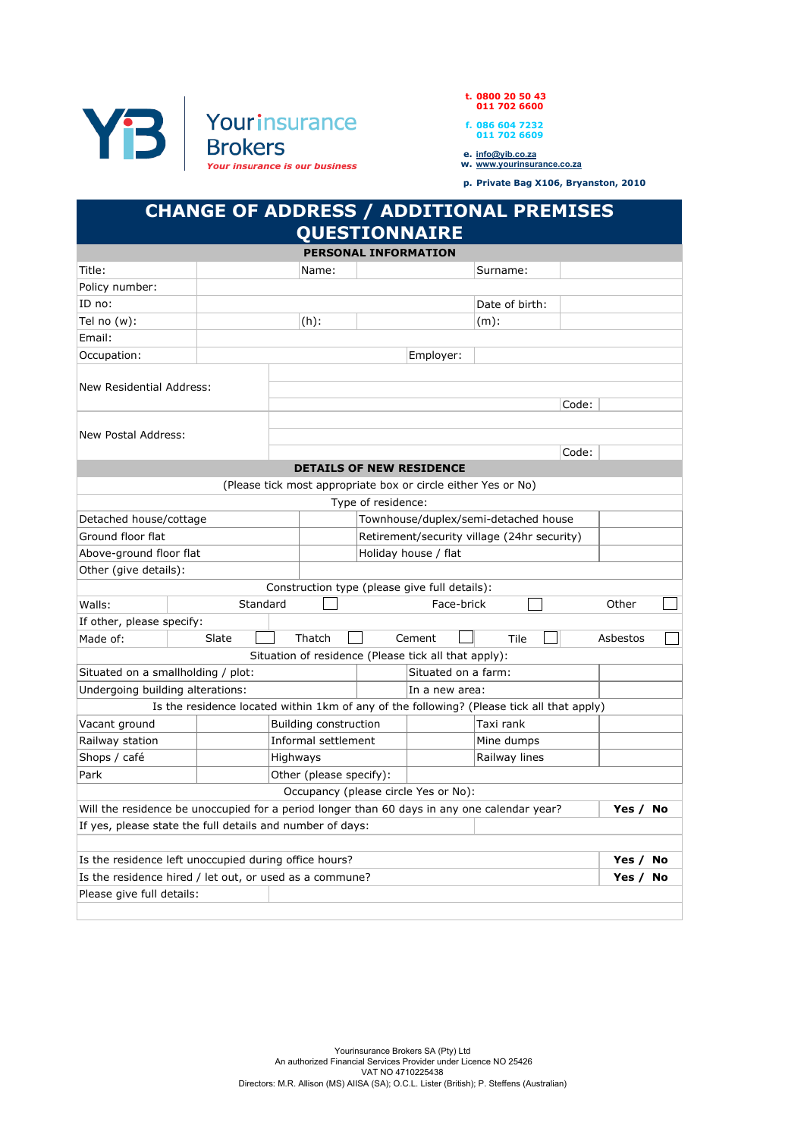



p. Private Bag X106, Bryanston, 2010

## CHANGE OF ADDRESS / ADDITIONAL PREMISES QUESTIONNAIRE

|                                                                                             |                                                                                           |                         |                     | <b>PERSONAL INFORMATION</b> |                                                               |                |       |          |    |
|---------------------------------------------------------------------------------------------|-------------------------------------------------------------------------------------------|-------------------------|---------------------|-----------------------------|---------------------------------------------------------------|----------------|-------|----------|----|
| Title:                                                                                      |                                                                                           | Name:                   |                     |                             |                                                               | Surname:       |       |          |    |
| Policy number:                                                                              |                                                                                           |                         |                     |                             |                                                               |                |       |          |    |
| ID no:                                                                                      |                                                                                           |                         |                     |                             |                                                               | Date of birth: |       |          |    |
| Tel no $(w)$ :                                                                              |                                                                                           | $(h)$ :                 |                     |                             |                                                               | $(m)$ :        |       |          |    |
| Email:                                                                                      |                                                                                           |                         |                     |                             |                                                               |                |       |          |    |
| Occupation:                                                                                 |                                                                                           |                         |                     |                             | Employer:                                                     |                |       |          |    |
| New Residential Address:                                                                    |                                                                                           |                         |                     |                             |                                                               |                | Code: |          |    |
| New Postal Address:                                                                         |                                                                                           |                         |                     |                             |                                                               |                | Code: |          |    |
|                                                                                             |                                                                                           |                         |                     |                             | <b>DETAILS OF NEW RESIDENCE</b>                               |                |       |          |    |
|                                                                                             |                                                                                           |                         |                     |                             | (Please tick most appropriate box or circle either Yes or No) |                |       |          |    |
|                                                                                             |                                                                                           |                         |                     | Type of residence:          |                                                               |                |       |          |    |
| Detached house/cottage                                                                      |                                                                                           |                         |                     |                             | Townhouse/duplex/semi-detached house                          |                |       |          |    |
| Ground floor flat                                                                           |                                                                                           |                         |                     |                             | Retirement/security village (24hr security)                   |                |       |          |    |
| Above-ground floor flat                                                                     |                                                                                           |                         |                     | Holiday house / flat        |                                                               |                |       |          |    |
| Other (give details):                                                                       |                                                                                           |                         |                     |                             |                                                               |                |       |          |    |
|                                                                                             |                                                                                           |                         |                     |                             | Construction type (please give full details):                 |                |       |          |    |
| Walls:<br>Standard                                                                          |                                                                                           |                         |                     |                             | Face-brick                                                    |                |       | Other    |    |
| If other, please specify:                                                                   |                                                                                           |                         |                     |                             |                                                               |                |       |          |    |
| Made of:                                                                                    | Slate                                                                                     | Thatch                  |                     |                             | Cement                                                        | Tile           |       | Asbestos |    |
|                                                                                             |                                                                                           |                         |                     |                             | Situation of residence (Please tick all that apply):          |                |       |          |    |
| Situated on a smallholding / plot:                                                          |                                                                                           |                         | Situated on a farm: |                             |                                                               |                |       |          |    |
| Undergoing building alterations:                                                            |                                                                                           |                         |                     | In a new area:              |                                                               |                |       |          |    |
|                                                                                             | Is the residence located within 1km of any of the following? (Please tick all that apply) |                         |                     |                             |                                                               |                |       |          |    |
| Vacant ground                                                                               |                                                                                           |                         |                     | Building construction       |                                                               | Taxi rank      |       |          |    |
| Railway station                                                                             |                                                                                           |                         | Informal settlement |                             |                                                               | Mine dumps     |       |          |    |
| Shops / café                                                                                | Highways                                                                                  |                         |                     |                             |                                                               | Railway lines  |       |          |    |
| Park                                                                                        |                                                                                           | Other (please specify): |                     |                             |                                                               |                |       |          |    |
|                                                                                             |                                                                                           |                         |                     |                             | Occupancy (please circle Yes or No):                          |                |       |          |    |
| Will the residence be unoccupied for a period longer than 60 days in any one calendar year? |                                                                                           |                         |                     |                             |                                                               |                |       | Yes / No |    |
| If yes, please state the full details and number of days:                                   |                                                                                           |                         |                     |                             |                                                               |                |       |          |    |
|                                                                                             |                                                                                           |                         |                     |                             |                                                               |                |       |          |    |
| Is the residence left unoccupied during office hours?                                       |                                                                                           |                         |                     |                             |                                                               |                |       | Yes /    | No |
| Is the residence hired / let out, or used as a commune?                                     |                                                                                           |                         |                     |                             |                                                               |                |       | Yes /    | No |
| Please give full details:                                                                   |                                                                                           |                         |                     |                             |                                                               |                |       |          |    |
|                                                                                             |                                                                                           |                         |                     |                             |                                                               |                |       |          |    |